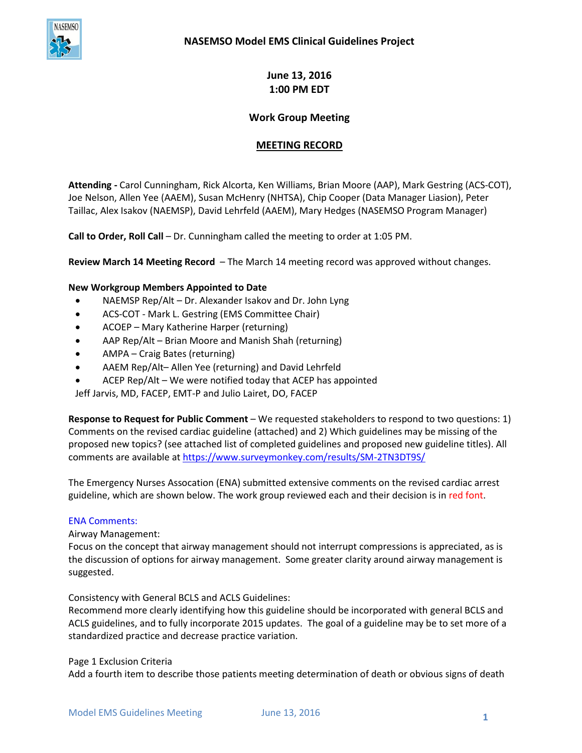

**June 13, 2016 1:00 PM EDT**

# **Work Group Meeting**

# **MEETING RECORD**

**Attending -** Carol Cunningham, Rick Alcorta, Ken Williams, Brian Moore (AAP), Mark Gestring (ACS-COT), Joe Nelson, Allen Yee (AAEM), Susan McHenry (NHTSA), Chip Cooper (Data Manager Liasion), Peter Taillac, Alex Isakov (NAEMSP), David Lehrfeld (AAEM), Mary Hedges (NASEMSO Program Manager)

**Call to Order, Roll Call** – Dr. Cunningham called the meeting to order at 1:05 PM.

**Review March 14 Meeting Record** – The March 14 meeting record was approved without changes.

### **New Workgroup Members Appointed to Date**

- NAEMSP Rep/Alt Dr. Alexander Isakov and Dr. John Lyng
- ACS-COT Mark L. Gestring (EMS Committee Chair)
- ACOEP Mary Katherine Harper (returning)
- AAP Rep/Alt Brian Moore and Manish Shah (returning)
- AMPA Craig Bates (returning)
- AAEM Rep/Alt– Allen Yee (returning) and David Lehrfeld
- ACEP Rep/Alt We were notified today that ACEP has appointed

Jeff Jarvis, MD, FACEP, EMT-P and Julio Lairet, DO, FACEP

**Response to Request for Public Comment** – We requested stakeholders to respond to two questions: 1) Comments on the revised cardiac guideline (attached) and 2) Which guidelines may be missing of the proposed new topics? (see attached list of completed guidelines and proposed new guideline titles). All comments are available at <https://www.surveymonkey.com/results/SM-2TN3DT9S/>

The Emergency Nurses Assocation (ENA) submitted extensive comments on the revised cardiac arrest guideline, which are shown below. The work group reviewed each and their decision is in red font.

### ENA Comments:

Airway Management:

Focus on the concept that airway management should not interrupt compressions is appreciated, as is the discussion of options for airway management. Some greater clarity around airway management is suggested.

Consistency with General BCLS and ACLS Guidelines:

Recommend more clearly identifying how this guideline should be incorporated with general BCLS and ACLS guidelines, and to fully incorporate 2015 updates. The goal of a guideline may be to set more of a standardized practice and decrease practice variation.

### Page 1 Exclusion Criteria

Add a fourth item to describe those patients meeting determination of death or obvious signs of death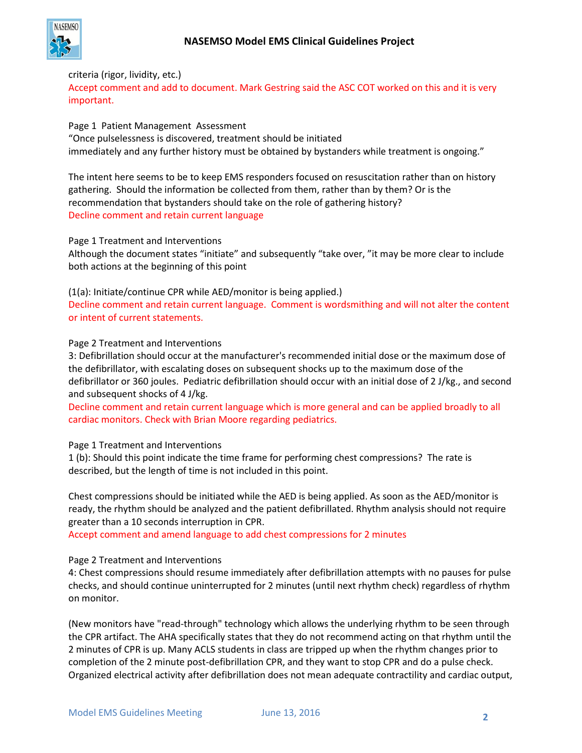

## criteria (rigor, lividity, etc.)

Accept comment and add to document. Mark Gestring said the ASC COT worked on this and it is very important.

Page 1 Patient Management Assessment "Once pulselessness is discovered, treatment should be initiated immediately and any further history must be obtained by bystanders while treatment is ongoing."

The intent here seems to be to keep EMS responders focused on resuscitation rather than on history gathering. Should the information be collected from them, rather than by them? Or is the recommendation that bystanders should take on the role of gathering history? Decline comment and retain current language

Page 1 Treatment and Interventions

Although the document states "initiate" and subsequently "take over, "it may be more clear to include both actions at the beginning of this point

(1(a): Initiate/continue CPR while AED/monitor is being applied.) Decline comment and retain current language. Comment is wordsmithing and will not alter the content or intent of current statements.

### Page 2 Treatment and Interventions

3: Defibrillation should occur at the manufacturer's recommended initial dose or the maximum dose of the defibrillator, with escalating doses on subsequent shocks up to the maximum dose of the defibrillator or 360 joules. Pediatric defibrillation should occur with an initial dose of 2 J/kg., and second and subsequent shocks of 4 J/kg.

Decline comment and retain current language which is more general and can be applied broadly to all cardiac monitors. Check with Brian Moore regarding pediatrics.

Page 1 Treatment and Interventions

1 (b): Should this point indicate the time frame for performing chest compressions? The rate is described, but the length of time is not included in this point.

Chest compressions should be initiated while the AED is being applied. As soon as the AED/monitor is ready, the rhythm should be analyzed and the patient defibrillated. Rhythm analysis should not require greater than a 10 seconds interruption in CPR.

Accept comment and amend language to add chest compressions for 2 minutes

## Page 2 Treatment and Interventions

4: Chest compressions should resume immediately after defibrillation attempts with no pauses for pulse checks, and should continue uninterrupted for 2 minutes (until next rhythm check) regardless of rhythm on monitor.

(New monitors have "read-through" technology which allows the underlying rhythm to be seen through the CPR artifact. The AHA specifically states that they do not recommend acting on that rhythm until the 2 minutes of CPR is up. Many ACLS students in class are tripped up when the rhythm changes prior to completion of the 2 minute post-defibrillation CPR, and they want to stop CPR and do a pulse check. Organized electrical activity after defibrillation does not mean adequate contractility and cardiac output,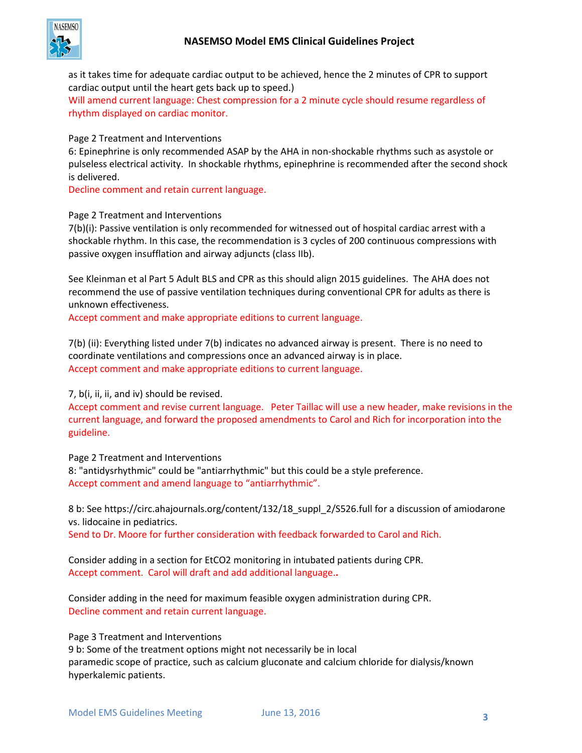

as it takes time for adequate cardiac output to be achieved, hence the 2 minutes of CPR to support cardiac output until the heart gets back up to speed.)

Will amend current language: Chest compression for a 2 minute cycle should resume regardless of rhythm displayed on cardiac monitor.

Page 2 Treatment and Interventions

6: Epinephrine is only recommended ASAP by the AHA in non-shockable rhythms such as asystole or pulseless electrical activity. In shockable rhythms, epinephrine is recommended after the second shock is delivered.

Decline comment and retain current language.

### Page 2 Treatment and Interventions

7(b)(i): Passive ventilation is only recommended for witnessed out of hospital cardiac arrest with a shockable rhythm. In this case, the recommendation is 3 cycles of 200 continuous compressions with passive oxygen insufflation and airway adjuncts (class IIb).

See Kleinman et al Part 5 Adult BLS and CPR as this should align 2015 guidelines. The AHA does not recommend the use of passive ventilation techniques during conventional CPR for adults as there is unknown effectiveness.

Accept comment and make appropriate editions to current language.

7(b) (ii): Everything listed under 7(b) indicates no advanced airway is present. There is no need to coordinate ventilations and compressions once an advanced airway is in place. Accept comment and make appropriate editions to current language.

## 7, b(i, ii, ii, and iv) should be revised.

Accept comment and revise current language. Peter Taillac will use a new header, make revisions in the current language, and forward the proposed amendments to Carol and Rich for incorporation into the guideline.

Page 2 Treatment and Interventions

8: "antidysrhythmic" could be "antiarrhythmic" but this could be a style preference. Accept comment and amend language to "antiarrhythmic".

8 b: See https://circ.ahajournals.org/content/132/18\_suppl\_2/S526.full for a discussion of amiodarone vs. lidocaine in pediatrics.

Send to Dr. Moore for further consideration with feedback forwarded to Carol and Rich.

Consider adding in a section for EtCO2 monitoring in intubated patients during CPR. Accept comment. Carol will draft and add additional language.**.**

Consider adding in the need for maximum feasible oxygen administration during CPR. Decline comment and retain current language.

Page 3 Treatment and Interventions

9 b: Some of the treatment options might not necessarily be in local paramedic scope of practice, such as calcium gluconate and calcium chloride for dialysis/known hyperkalemic patients.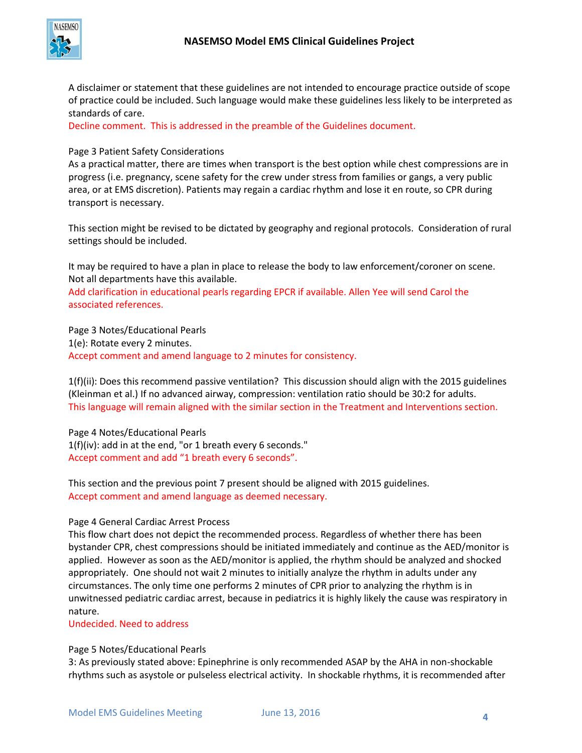

A disclaimer or statement that these guidelines are not intended to encourage practice outside of scope of practice could be included. Such language would make these guidelines less likely to be interpreted as standards of care.

Decline comment. This is addressed in the preamble of the Guidelines document.

### Page 3 Patient Safety Considerations

As a practical matter, there are times when transport is the best option while chest compressions are in progress (i.e. pregnancy, scene safety for the crew under stress from families or gangs, a very public area, or at EMS discretion). Patients may regain a cardiac rhythm and lose it en route, so CPR during transport is necessary.

This section might be revised to be dictated by geography and regional protocols. Consideration of rural settings should be included.

It may be required to have a plan in place to release the body to law enforcement/coroner on scene. Not all departments have this available.

Add clarification in educational pearls regarding EPCR if available. Allen Yee will send Carol the associated references.

Page 3 Notes/Educational Pearls 1(e): Rotate every 2 minutes. Accept comment and amend language to 2 minutes for consistency.

1(f)(ii): Does this recommend passive ventilation? This discussion should align with the 2015 guidelines (Kleinman et al.) If no advanced airway, compression: ventilation ratio should be 30:2 for adults. This language will remain aligned with the similar section in the Treatment and Interventions section.

Page 4 Notes/Educational Pearls 1(f)(iv): add in at the end, "or 1 breath every 6 seconds." Accept comment and add "1 breath every 6 seconds".

This section and the previous point 7 present should be aligned with 2015 guidelines. Accept comment and amend language as deemed necessary.

### Page 4 General Cardiac Arrest Process

This flow chart does not depict the recommended process. Regardless of whether there has been bystander CPR, chest compressions should be initiated immediately and continue as the AED/monitor is applied. However as soon as the AED/monitor is applied, the rhythm should be analyzed and shocked appropriately. One should not wait 2 minutes to initially analyze the rhythm in adults under any circumstances. The only time one performs 2 minutes of CPR prior to analyzing the rhythm is in unwitnessed pediatric cardiac arrest, because in pediatrics it is highly likely the cause was respiratory in nature.

Undecided. Need to address

### Page 5 Notes/Educational Pearls

3: As previously stated above: Epinephrine is only recommended ASAP by the AHA in non-shockable rhythms such as asystole or pulseless electrical activity. In shockable rhythms, it is recommended after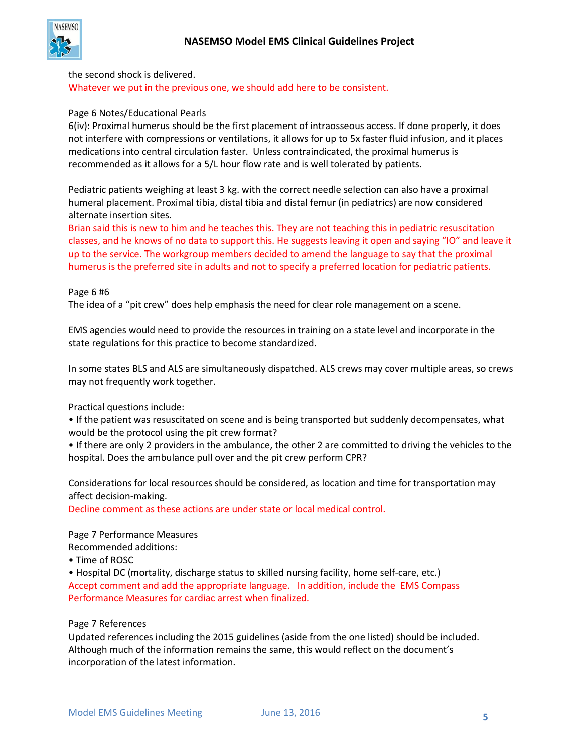

#### the second shock is delivered.

Whatever we put in the previous one, we should add here to be consistent.

#### Page 6 Notes/Educational Pearls

6(iv): Proximal humerus should be the first placement of intraosseous access. If done properly, it does not interfere with compressions or ventilations, it allows for up to 5x faster fluid infusion, and it places medications into central circulation faster. Unless contraindicated, the proximal humerus is recommended as it allows for a 5/L hour flow rate and is well tolerated by patients.

Pediatric patients weighing at least 3 kg. with the correct needle selection can also have a proximal humeral placement. Proximal tibia, distal tibia and distal femur (in pediatrics) are now considered alternate insertion sites.

Brian said this is new to him and he teaches this. They are not teaching this in pediatric resuscitation classes, and he knows of no data to support this. He suggests leaving it open and saying "IO" and leave it up to the service. The workgroup members decided to amend the language to say that the proximal humerus is the preferred site in adults and not to specify a preferred location for pediatric patients.

#### Page 6 #6

The idea of a "pit crew" does help emphasis the need for clear role management on a scene.

EMS agencies would need to provide the resources in training on a state level and incorporate in the state regulations for this practice to become standardized.

In some states BLS and ALS are simultaneously dispatched. ALS crews may cover multiple areas, so crews may not frequently work together.

Practical questions include:

• If the patient was resuscitated on scene and is being transported but suddenly decompensates, what would be the protocol using the pit crew format?

• If there are only 2 providers in the ambulance, the other 2 are committed to driving the vehicles to the hospital. Does the ambulance pull over and the pit crew perform CPR?

Considerations for local resources should be considered, as location and time for transportation may affect decision-making.

Decline comment as these actions are under state or local medical control.

Page 7 Performance Measures

Recommended additions:

• Time of ROSC

• Hospital DC (mortality, discharge status to skilled nursing facility, home self-care, etc.) Accept comment and add the appropriate language. In addition, include the EMS Compass Performance Measures for cardiac arrest when finalized.

#### Page 7 References

Updated references including the 2015 guidelines (aside from the one listed) should be included. Although much of the information remains the same, this would reflect on the document's incorporation of the latest information.